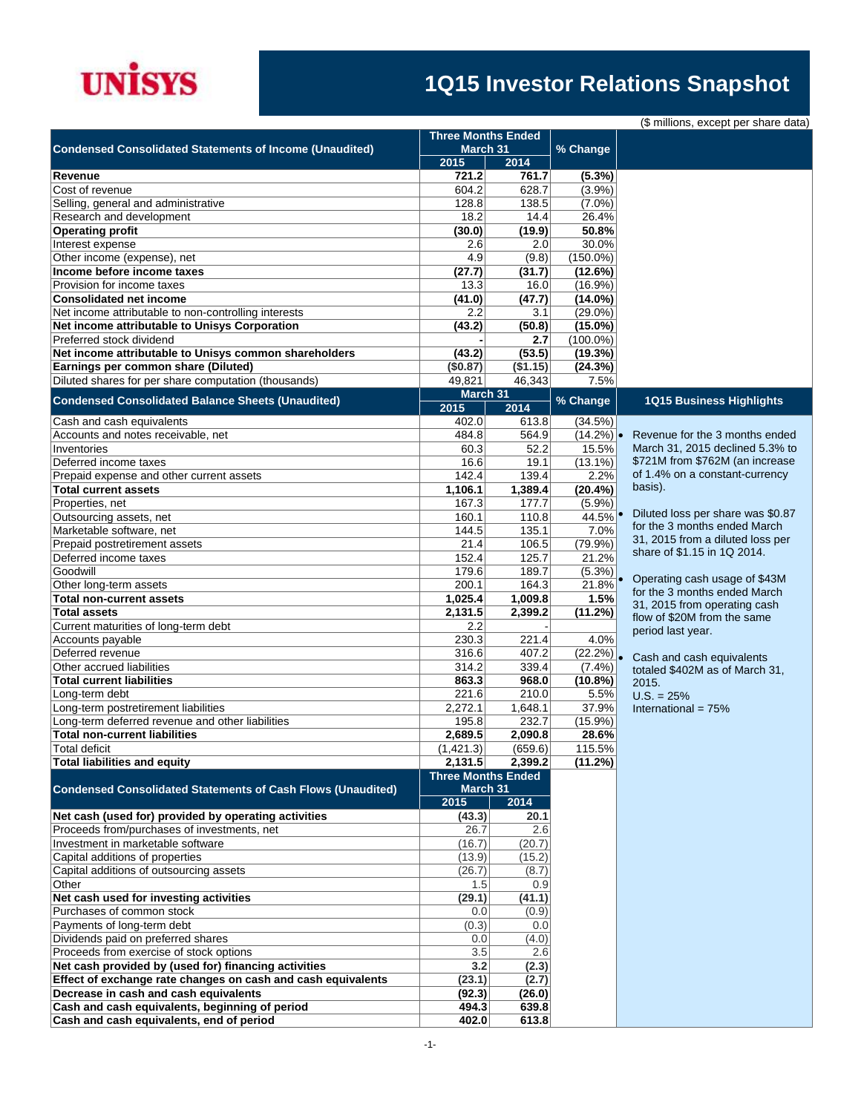

## **1Q15 Investor Relations Snapshot**

| (\$ millions, except per share data) |
|--------------------------------------|
|--------------------------------------|

|                                                                    |                  | <b>Three Months Ended</b><br>March 31 |                       |                                                                   |
|--------------------------------------------------------------------|------------------|---------------------------------------|-----------------------|-------------------------------------------------------------------|
| <b>Condensed Consolidated Statements of Income (Unaudited)</b>     | 2015             | 2014                                  | % Change              |                                                                   |
| Revenue                                                            | 721.2            | 761.7                                 | $(5.3\%)$             |                                                                   |
| Cost of revenue                                                    | 604.2            | 628.7                                 | (3.9%)                |                                                                   |
| Selling, general and administrative                                | 128.8            | 138.5                                 | $(7.0\%)$             |                                                                   |
| Research and development                                           | 18.2             | 14.4                                  | 26.4%                 |                                                                   |
| <b>Operating profit</b>                                            | (30.0)           | (19.9)                                | 50.8%                 |                                                                   |
| Interest expense                                                   | 2.6              | 2.0                                   | 30.0%                 |                                                                   |
| Other income (expense), net                                        | 4.9              | (9.8)                                 | $(150.0\%)$           |                                                                   |
| Income before income taxes<br>Provision for income taxes           | (27.7)<br>13.3   | (31.7)<br>16.0                        | (12.6%)<br>$(16.9\%)$ |                                                                   |
| <b>Consolidated net income</b>                                     | (41.0)           | (47.7)                                | $(14.0\%)$            |                                                                   |
| Net income attributable to non-controlling interests               | 2.2              | 3.1                                   | $(29.0\%)$            |                                                                   |
| Net income attributable to Unisys Corporation                      | (43.2)           | (50.8)                                | $(15.0\%)$            |                                                                   |
| Preferred stock dividend                                           |                  | 2.7                                   | $(100.0\%)$           |                                                                   |
| Net income attributable to Unisys common shareholders              | (43.2)           | (53.5)                                | (19.3%)               |                                                                   |
| Earnings per common share (Diluted)                                | (\$0.87)         | (\$1.15)                              | (24.3%)               |                                                                   |
| Diluted shares for per share computation (thousands)               | 49,821           | 46,343                                | 7.5%                  |                                                                   |
| <b>Condensed Consolidated Balance Sheets (Unaudited)</b>           | 2015             | March 31<br>2014                      | % Change              | <b>1Q15 Business Highlights</b>                                   |
| Cash and cash equivalents                                          | 402.0            | 613.8                                 | (34.5%)               |                                                                   |
| Accounts and notes receivable, net                                 | 484.8            | 564.9                                 | $(14.2\%)$            | Revenue for the 3 months ended                                    |
| Inventories                                                        | 60.3             | 52.2                                  | 15.5%                 | March 31, 2015 declined 5.3% to                                   |
| Deferred income taxes                                              | 16.6             | 19.1                                  | $(13.1\%)$            | \$721M from \$762M (an increase                                   |
| Prepaid expense and other current assets                           | 142.4            | 139.4                                 | 2.2%                  | of 1.4% on a constant-currency                                    |
| <b>Total current assets</b>                                        | 1,106.1          | 1,389.4                               | $(20.4\%)$            | basis).                                                           |
| Properties, net                                                    | 167.3            | 177.7                                 | $(5.9\%)$             |                                                                   |
| Outsourcing assets, net                                            | 160.1            | 110.8                                 | $44.5\%$              | Diluted loss per share was \$0.87<br>for the 3 months ended March |
| Marketable software, net                                           | 144.5            | 135.1                                 | 7.0%                  | 31, 2015 from a diluted loss per                                  |
| Prepaid postretirement assets                                      | 21.4             | 106.5                                 | $(79.9\%)$            | share of \$1.15 in 1Q 2014.                                       |
| Deferred income taxes                                              | 152.4            | 125.7                                 | 21.2%                 |                                                                   |
| Goodwill                                                           | 179.6            | 189.7                                 | (5.3%)                | Operating cash usage of \$43M                                     |
| Other long-term assets<br><b>Total non-current assets</b>          | 200.1<br>1,025.4 | 164.3<br>1,009.8                      | 21.8%<br>1.5%         | for the 3 months ended March                                      |
| <b>Total assets</b>                                                | 2,131.5          | 2,399.2                               | (11.2%)               | 31, 2015 from operating cash                                      |
| Current maturities of long-term debt                               | 2.2              |                                       |                       | flow of \$20M from the same                                       |
| Accounts payable                                                   | 230.3            | 221.4                                 | 4.0%                  | period last year.                                                 |
| Deferred revenue                                                   | 316.6            | 407.2                                 | (22.2%)               | Cash and cash equivalents                                         |
| Other accrued liabilities                                          | 314.2            | 339.4                                 | $(7.4\%)$             | totaled \$402M as of March 31,                                    |
| <b>Total current liabilities</b>                                   | 863.3            | 968.0                                 | (10.8%)               | 2015.                                                             |
| Long-term debt                                                     | 221.6            | 210.0                                 | 5.5%                  | $U.S. = 25%$                                                      |
| Long-term postretirement liabilities                               | 2,272.1          | 1,648.1                               | 37.9%                 | International = $75%$                                             |
| Long-term deferred revenue and other liabilities                   | 195.8            | 232.7                                 | $(15.9\%)$            |                                                                   |
| <b>Total non-current liabilities</b>                               | 2.689.5          | 2,090.8                               | 28.6%                 |                                                                   |
| Total deficit                                                      | (1, 421.3)       | (659.6)                               | 115.5%                |                                                                   |
| <b>Total liabilities and equity</b>                                | 2,131.5          | 2,399.2                               | (11.2%)               |                                                                   |
| <b>Condensed Consolidated Statements of Cash Flows (Unaudited)</b> |                  | <b>Three Months Ended</b><br>March 31 |                       |                                                                   |
|                                                                    | 2015             | 2014                                  |                       |                                                                   |
| Net cash (used for) provided by operating activities               | (43.3)           | 20.1                                  |                       |                                                                   |
| Proceeds from/purchases of investments, net                        | 26.7             | 2.6                                   |                       |                                                                   |
| Investment in marketable software                                  | (16.7)           | (20.7)                                |                       |                                                                   |
| Capital additions of properties                                    | (13.9)           | (15.2)                                |                       |                                                                   |
| Capital additions of outsourcing assets                            | (26.7)           | (8.7)                                 |                       |                                                                   |
| Other                                                              | 1.5              | 0.9                                   |                       |                                                                   |
| Net cash used for investing activities                             | (29.1)           | (41.1)                                |                       |                                                                   |
| Purchases of common stock                                          | 0.0              | (0.9)                                 |                       |                                                                   |
| Payments of long-term debt<br>Dividends paid on preferred shares   | (0.3)<br>0.0     | 0.0<br>(4.0)                          |                       |                                                                   |
| Proceeds from exercise of stock options                            | 3.5              | 2.6                                   |                       |                                                                   |
| Net cash provided by (used for) financing activities               | 3.2              | (2.3)                                 |                       |                                                                   |
| Effect of exchange rate changes on cash and cash equivalents       | (23.1)           | (2.7)                                 |                       |                                                                   |
| Decrease in cash and cash equivalents                              | (92.3)           | (26.0)                                |                       |                                                                   |
| Cash and cash equivalents, beginning of period                     | 494.3            | 639.8                                 |                       |                                                                   |
| Cash and cash equivalents, end of period                           | 402.0            | 613.8                                 |                       |                                                                   |